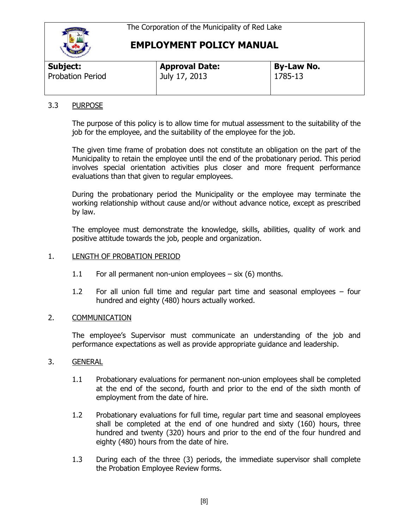

# **EMPLOYMENT POLICY MANUAL**

| <b>Sand Carloon</b>     |                       |                   |  |
|-------------------------|-----------------------|-------------------|--|
| Subject:                | <b>Approval Date:</b> | <b>By-Law No.</b> |  |
| <b>Probation Period</b> | July 17, 2013         | 1785-13           |  |

## 3.3 PURPOSE

The purpose of this policy is to allow time for mutual assessment to the suitability of the job for the employee, and the suitability of the employee for the job.

The given time frame of probation does not constitute an obligation on the part of the Municipality to retain the employee until the end of the probationary period. This period involves special orientation activities plus closer and more frequent performance evaluations than that given to regular employees.

During the probationary period the Municipality or the employee may terminate the working relationship without cause and/or without advance notice, except as prescribed by law.

The employee must demonstrate the knowledge, skills, abilities, quality of work and positive attitude towards the job, people and organization.

### 1. LENGTH OF PROBATION PERIOD

- 1.1 For all permanent non-union employees six (6) months.
- 1.2 For all union full time and regular part time and seasonal employees four hundred and eighty (480) hours actually worked.

### 2. COMMUNICATION

The employee's Supervisor must communicate an understanding of the job and performance expectations as well as provide appropriate guidance and leadership.

### 3. GENERAL

- 1.1 Probationary evaluations for permanent non-union employees shall be completed at the end of the second, fourth and prior to the end of the sixth month of employment from the date of hire.
- 1.2 Probationary evaluations for full time, regular part time and seasonal employees shall be completed at the end of one hundred and sixty (160) hours, three hundred and twenty (320) hours and prior to the end of the four hundred and eighty (480) hours from the date of hire.
- 1.3 During each of the three (3) periods, the immediate supervisor shall complete the Probation Employee Review forms.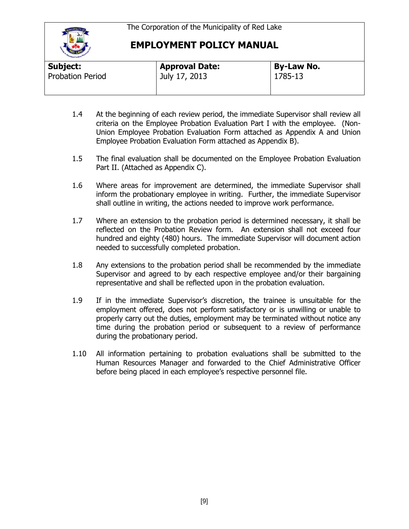

# **EMPLOYMENT POLICY MANUAL**

| Subject:                | <b>Approval Date:</b> | <b>By-Law No.</b> |  |  |  |
|-------------------------|-----------------------|-------------------|--|--|--|
| <b>Probation Period</b> | July 17, 2013         | 1785-13           |  |  |  |
|                         |                       |                   |  |  |  |

- 1.4 At the beginning of each review period, the immediate Supervisor shall review all criteria on the Employee Probation Evaluation Part I with the employee. (Non-Union Employee Probation Evaluation Form attached as Appendix A and Union Employee Probation Evaluation Form attached as Appendix B).
- 1.5 The final evaluation shall be documented on the Employee Probation Evaluation Part II. (Attached as Appendix C).
- 1.6 Where areas for improvement are determined, the immediate Supervisor shall inform the probationary employee in writing. Further, the immediate Supervisor shall outline in writing, the actions needed to improve work performance.
- 1.7 Where an extension to the probation period is determined necessary, it shall be reflected on the Probation Review form. An extension shall not exceed four hundred and eighty (480) hours. The immediate Supervisor will document action needed to successfully completed probation.
- 1.8 Any extensions to the probation period shall be recommended by the immediate Supervisor and agreed to by each respective employee and/or their bargaining representative and shall be reflected upon in the probation evaluation.
- 1.9 If in the immediate Supervisor's discretion, the trainee is unsuitable for the employment offered, does not perform satisfactory or is unwilling or unable to properly carry out the duties, employment may be terminated without notice any time during the probation period or subsequent to a review of performance during the probationary period.
- 1.10 All information pertaining to probation evaluations shall be submitted to the Human Resources Manager and forwarded to the Chief Administrative Officer before being placed in each employee's respective personnel file.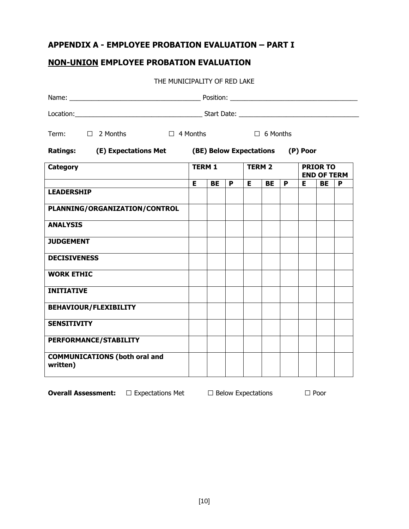# **APPENDIX A - EMPLOYEE PROBATION EVALUATION – PART I**

## **NON-UNION EMPLOYEE PROBATION EVALUATION**

THE MUNICIPALITY OF RED LAKE

|                                                  | Term: □ 2 Months □ 4 Months                                    |               |    |   | ■ 6 Months    |    |   |                                       |    |   |  |
|--------------------------------------------------|----------------------------------------------------------------|---------------|----|---|---------------|----|---|---------------------------------------|----|---|--|
|                                                  | Ratings: (E) Expectations Met (BE) Below Expectations (P) Poor |               |    |   |               |    |   |                                       |    |   |  |
| <b>Category</b>                                  |                                                                | <b>TERM 1</b> |    |   | <b>TERM 2</b> |    |   | <b>PRIOR TO</b><br><b>END OF TERM</b> |    |   |  |
|                                                  |                                                                | Е             | BE | P | E.            | BE | P | E.                                    | BE | P |  |
| <b>LEADERSHIP</b>                                |                                                                |               |    |   |               |    |   |                                       |    |   |  |
| PLANNING/ORGANIZATION/CONTROL                    |                                                                |               |    |   |               |    |   |                                       |    |   |  |
| <b>ANALYSIS</b>                                  |                                                                |               |    |   |               |    |   |                                       |    |   |  |
| <b>JUDGEMENT</b>                                 |                                                                |               |    |   |               |    |   |                                       |    |   |  |
| <b>DECISIVENESS</b>                              |                                                                |               |    |   |               |    |   |                                       |    |   |  |
| <b>WORK ETHIC</b>                                |                                                                |               |    |   |               |    |   |                                       |    |   |  |
| <b>INITIATIVE</b>                                |                                                                |               |    |   |               |    |   |                                       |    |   |  |
| <b>BEHAVIOUR/FLEXIBILITY</b>                     |                                                                |               |    |   |               |    |   |                                       |    |   |  |
| <b>SENSITIVITY</b>                               |                                                                |               |    |   |               |    |   |                                       |    |   |  |
| PERFORMANCE/STABILITY                            |                                                                |               |    |   |               |    |   |                                       |    |   |  |
| <b>COMMUNICATIONS (both oral and</b><br>written) |                                                                |               |    |   |               |    |   |                                       |    |   |  |

**Overall Assessment:** □ Expectations Met □ Below Expectations □ Poor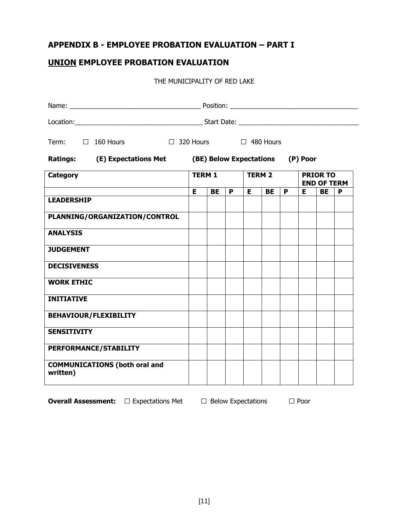# **APPENDIX B - EMPLOYEE PROBATION EVALUATION – PART I**

## **UNION EMPLOYEE PROBATION EVALUATION**

#### THE MUNICIPALITY OF RED LAKE

| Term: □ 160 Hours                                | $\Box$ 320 Hours $\Box$ 480 Hours                              |           |   |               |           |   |                                       |           |   |
|--------------------------------------------------|----------------------------------------------------------------|-----------|---|---------------|-----------|---|---------------------------------------|-----------|---|
|                                                  | Ratings: (E) Expectations Met (BE) Below Expectations (P) Poor |           |   |               |           |   |                                       |           |   |
| <b>Category</b>                                  | <b>TERM 1</b>                                                  |           |   | <b>TERM 2</b> |           |   | <b>PRIOR TO</b><br><b>END OF TERM</b> |           |   |
| <b>LEADERSHIP</b>                                | E                                                              | <b>BE</b> | P | E.            | <b>BE</b> | P | Е                                     | <b>BE</b> | P |
|                                                  |                                                                |           |   |               |           |   |                                       |           |   |
| PLANNING/ORGANIZATION/CONTROL                    |                                                                |           |   |               |           |   |                                       |           |   |
| <b>ANALYSIS</b>                                  |                                                                |           |   |               |           |   |                                       |           |   |
| <b>JUDGEMENT</b>                                 |                                                                |           |   |               |           |   |                                       |           |   |
| <b>DECISIVENESS</b>                              |                                                                |           |   |               |           |   |                                       |           |   |
| <b>WORK ETHIC</b>                                |                                                                |           |   |               |           |   |                                       |           |   |
| <b>INITIATIVE</b>                                |                                                                |           |   |               |           |   |                                       |           |   |
| <b>BEHAVIOUR/FLEXIBILITY</b>                     |                                                                |           |   |               |           |   |                                       |           |   |
| <b>SENSITIVITY</b>                               |                                                                |           |   |               |           |   |                                       |           |   |
| PERFORMANCE/STABILITY                            |                                                                |           |   |               |           |   |                                       |           |   |
| <b>COMMUNICATIONS (both oral and</b><br>written) |                                                                |           |   |               |           |   |                                       |           |   |

**Overall Assessment:** □ Expectations Met □ Below Expectations □ Poor